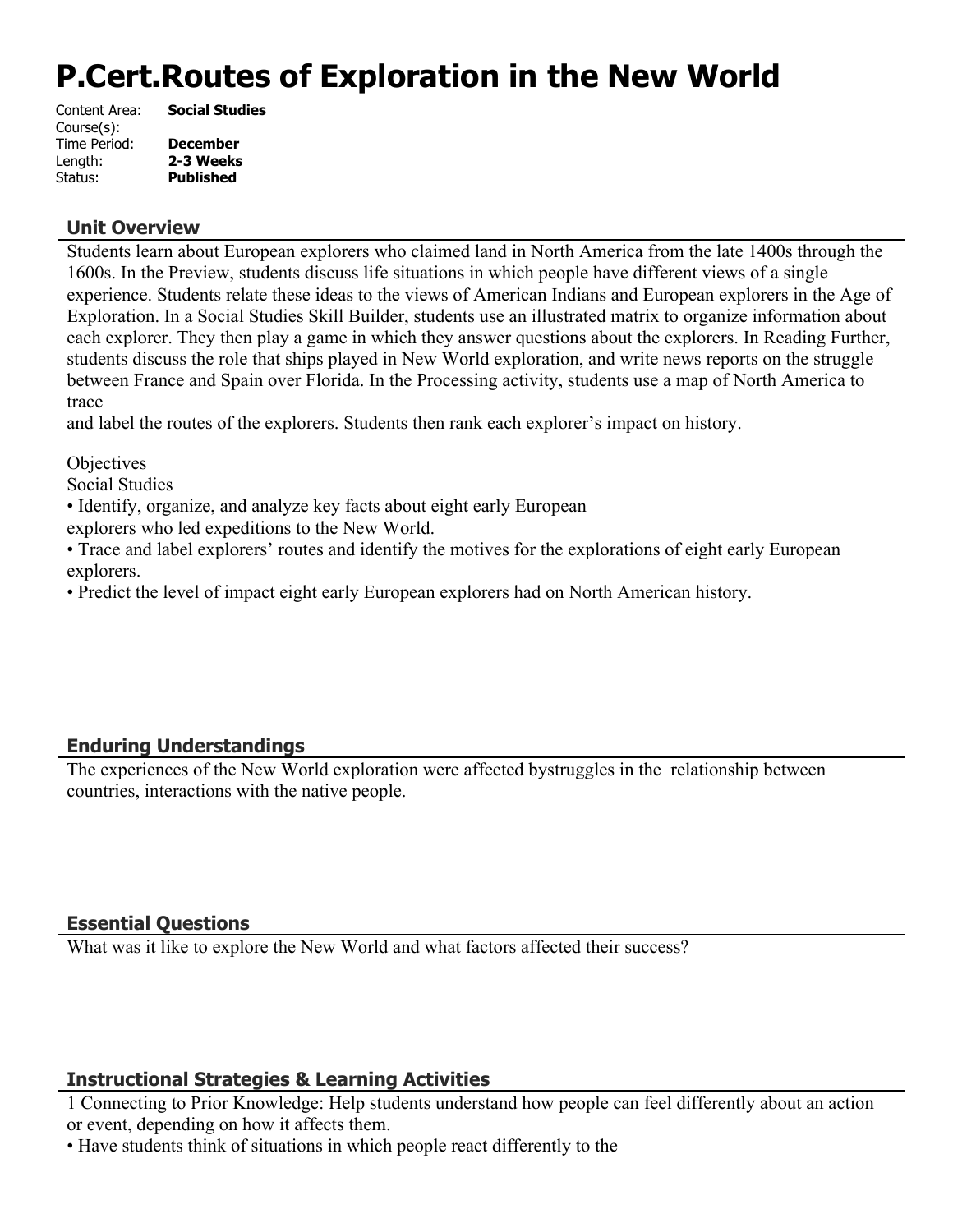# **P.Cert.Routes of Exploration in the New World**

| <b>Social Studies</b> |
|-----------------------|
|                       |
| <b>December</b>       |
| 2-3 Weeks             |
| <b>Published</b>      |
|                       |

#### **Unit Overview**

Students learn about European explorers who claimed land in North America from the late 1400s through the 1600s. In the Preview, students discuss life situations in which people have different views of a single experience. Students relate these ideas to the views of American Indians and European explorers in the Age of Exploration. In a Social Studies Skill Builder, students use an illustrated matrix to organize information about each explorer. They then play a game in which they answer questions about the explorers. In Reading Further, students discuss the role that ships played in New World exploration, and write news reports on the struggle between France and Spain over Florida. In the Processing activity, students use a map of North America to trace

and label the routes of the explorers. Students then rank each explorer's impact on history.

**Objectives** 

Social Studies

• Identify, organize, and analyze key facts about eight early European

explorers who led expeditions to the New World.

• Trace and label explorers' routes and identify the motives for the explorations of eight early European explorers.

• Predict the level of impact eight early European explorers had on North American history.

### **Enduring Understandings**

The experiences of the New World exploration were affected bystruggles in the relationship between countries, interactions with the native people.

### **Essential Questions**

What was it like to explore the New World and what factors affected their success?

### **Instructional Strategies & Learning Activities**

1 Connecting to Prior Knowledge: Help students understand how people can feel differently about an action or event, depending on how it affects them.

• Have students think of situations in which people react differently to the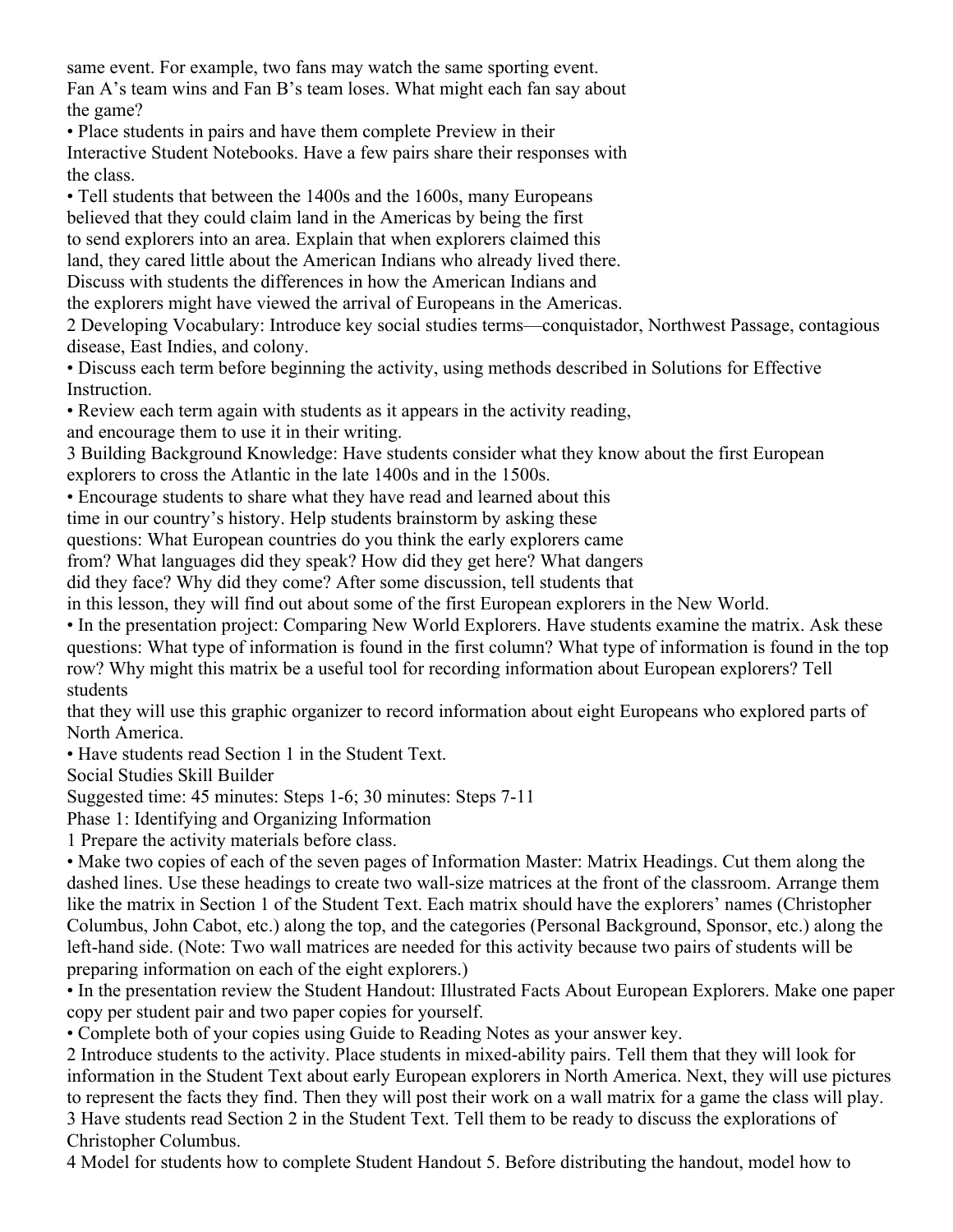same event. For example, two fans may watch the same sporting event. Fan A's team wins and Fan B's team loses. What might each fan say about the game?

• Place students in pairs and have them complete Preview in their Interactive Student Notebooks. Have a few pairs share their responses with the class.

• Tell students that between the 1400s and the 1600s, many Europeans believed that they could claim land in the Americas by being the first to send explorers into an area. Explain that when explorers claimed this land, they cared little about the American Indians who already lived there. Discuss with students the differences in how the American Indians and the explorers might have viewed the arrival of Europeans in the Americas.

2 Developing Vocabulary: Introduce key social studies terms—conquistador, Northwest Passage, contagious disease, East Indies, and colony.

• Discuss each term before beginning the activity, using methods described in Solutions for Effective **Instruction** 

• Review each term again with students as it appears in the activity reading,

and encourage them to use it in their writing.

3 Building Background Knowledge: Have students consider what they know about the first European explorers to cross the Atlantic in the late 1400s and in the 1500s.

• Encourage students to share what they have read and learned about this

time in our country's history. Help students brainstorm by asking these

questions: What European countries do you think the early explorers came

from? What languages did they speak? How did they get here? What dangers

did they face? Why did they come? After some discussion, tell students that

in this lesson, they will find out about some of the first European explorers in the New World.

• In the presentation project: Comparing New World Explorers. Have students examine the matrix. Ask these questions: What type of information is found in the first column? What type of information is found in the top row? Why might this matrix be a useful tool for recording information about European explorers? Tell students

that they will use this graphic organizer to record information about eight Europeans who explored parts of North America.

• Have students read Section 1 in the Student Text.

Social Studies Skill Builder

Suggested time: 45 minutes: Steps 1-6; 30 minutes: Steps 7-11

Phase 1: Identifying and Organizing Information

1 Prepare the activity materials before class.

• Make two copies of each of the seven pages of Information Master: Matrix Headings. Cut them along the dashed lines. Use these headings to create two wall-size matrices at the front of the classroom. Arrange them like the matrix in Section 1 of the Student Text. Each matrix should have the explorers' names (Christopher Columbus, John Cabot, etc.) along the top, and the categories (Personal Background, Sponsor, etc.) along the left-hand side. (Note: Two wall matrices are needed for this activity because two pairs of students will be preparing information on each of the eight explorers.)

• In the presentation review the Student Handout: Illustrated Facts About European Explorers. Make one paper copy per student pair and two paper copies for yourself.

• Complete both of your copies using Guide to Reading Notes as your answer key.

2 Introduce students to the activity. Place students in mixed-ability pairs. Tell them that they will look for information in the Student Text about early European explorers in North America. Next, they will use pictures to represent the facts they find. Then they will post their work on a wall matrix for a game the class will play. 3 Have students read Section 2 in the Student Text. Tell them to be ready to discuss the explorations of Christopher Columbus.

4 Model for students how to complete Student Handout 5. Before distributing the handout, model how to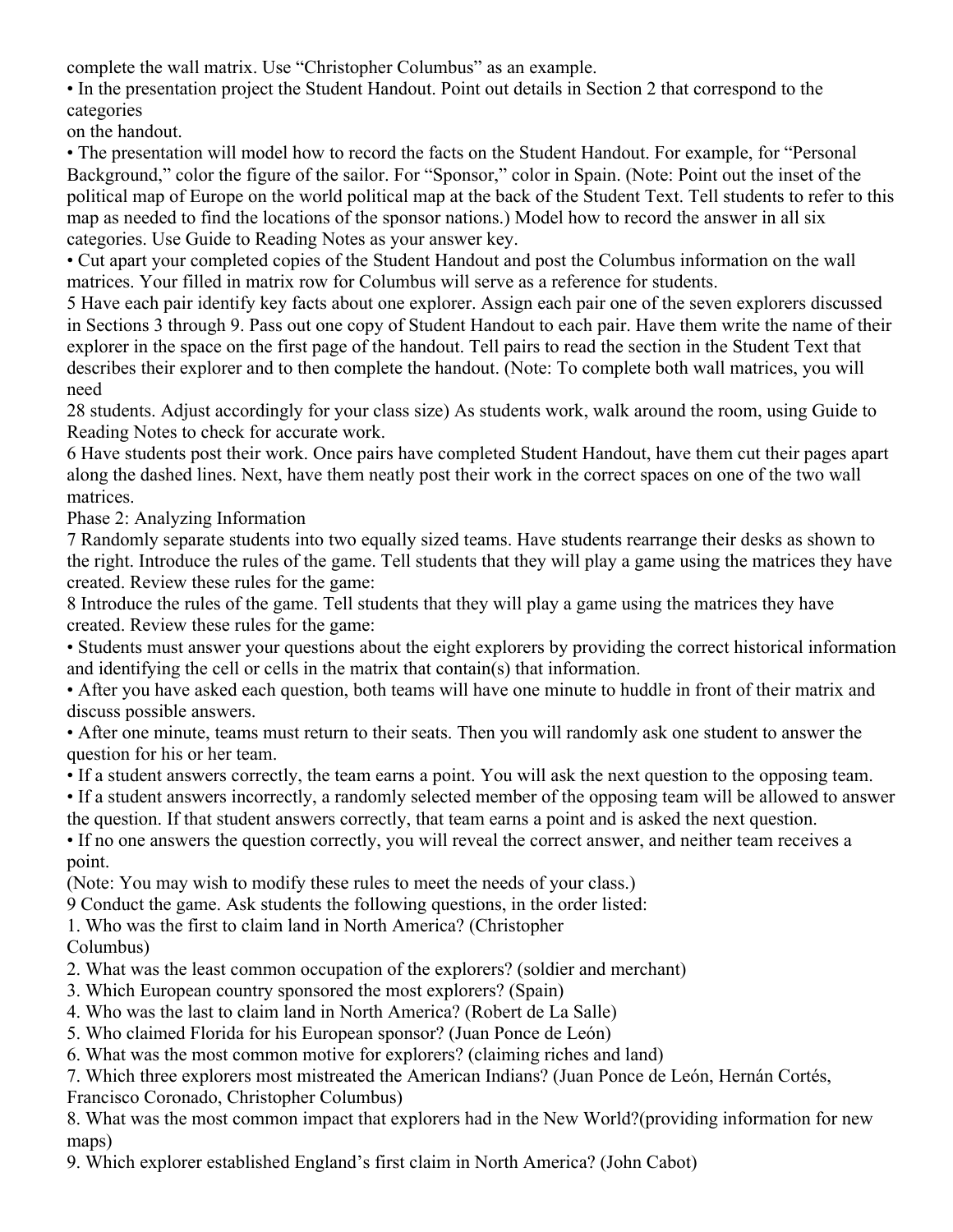complete the wall matrix. Use "Christopher Columbus" as an example.

• In the presentation project the Student Handout. Point out details in Section 2 that correspond to the categories

on the handout.

• The presentation will model how to record the facts on the Student Handout. For example, for "Personal Background," color the figure of the sailor. For "Sponsor," color in Spain. (Note: Point out the inset of the political map of Europe on the world political map at the back of the Student Text. Tell students to refer to this map as needed to find the locations of the sponsor nations.) Model how to record the answer in all six categories. Use Guide to Reading Notes as your answer key.

• Cut apart your completed copies of the Student Handout and post the Columbus information on the wall matrices. Your filled in matrix row for Columbus will serve as a reference for students.

5 Have each pair identify key facts about one explorer. Assign each pair one of the seven explorers discussed in Sections 3 through 9. Pass out one copy of Student Handout to each pair. Have them write the name of their explorer in the space on the first page of the handout. Tell pairs to read the section in the Student Text that describes their explorer and to then complete the handout. (Note: To complete both wall matrices, you will need

28 students. Adjust accordingly for your class size) As students work, walk around the room, using Guide to Reading Notes to check for accurate work.

6 Have students post their work. Once pairs have completed Student Handout, have them cut their pages apart along the dashed lines. Next, have them neatly post their work in the correct spaces on one of the two wall matrices.

Phase 2: Analyzing Information

7 Randomly separate students into two equally sized teams. Have students rearrange their desks as shown to the right. Introduce the rules of the game. Tell students that they will play a game using the matrices they have created. Review these rules for the game:

8 Introduce the rules of the game. Tell students that they will play a game using the matrices they have created. Review these rules for the game:

• Students must answer your questions about the eight explorers by providing the correct historical information and identifying the cell or cells in the matrix that contain(s) that information.

• After you have asked each question, both teams will have one minute to huddle in front of their matrix and discuss possible answers.

• After one minute, teams must return to their seats. Then you will randomly ask one student to answer the question for his or her team.

• If a student answers correctly, the team earns a point. You will ask the next question to the opposing team.

• If a student answers incorrectly, a randomly selected member of the opposing team will be allowed to answer the question. If that student answers correctly, that team earns a point and is asked the next question.

• If no one answers the question correctly, you will reveal the correct answer, and neither team receives a point.

(Note: You may wish to modify these rules to meet the needs of your class.)

9 Conduct the game. Ask students the following questions, in the order listed:

1. Who was the first to claim land in North America? (Christopher

# Columbus)

2. What was the least common occupation of the explorers? (soldier and merchant)

3. Which European country sponsored the most explorers? (Spain)

4. Who was the last to claim land in North America? (Robert de La Salle)

5. Who claimed Florida for his European sponsor? (Juan Ponce de León)

6. What was the most common motive for explorers? (claiming riches and land)

7. Which three explorers most mistreated the American Indians? (Juan Ponce de León, Hernán Cortés,

Francisco Coronado, Christopher Columbus)

8. What was the most common impact that explorers had in the New World?(providing information for new maps)

9. Which explorer established England's first claim in North America? (John Cabot)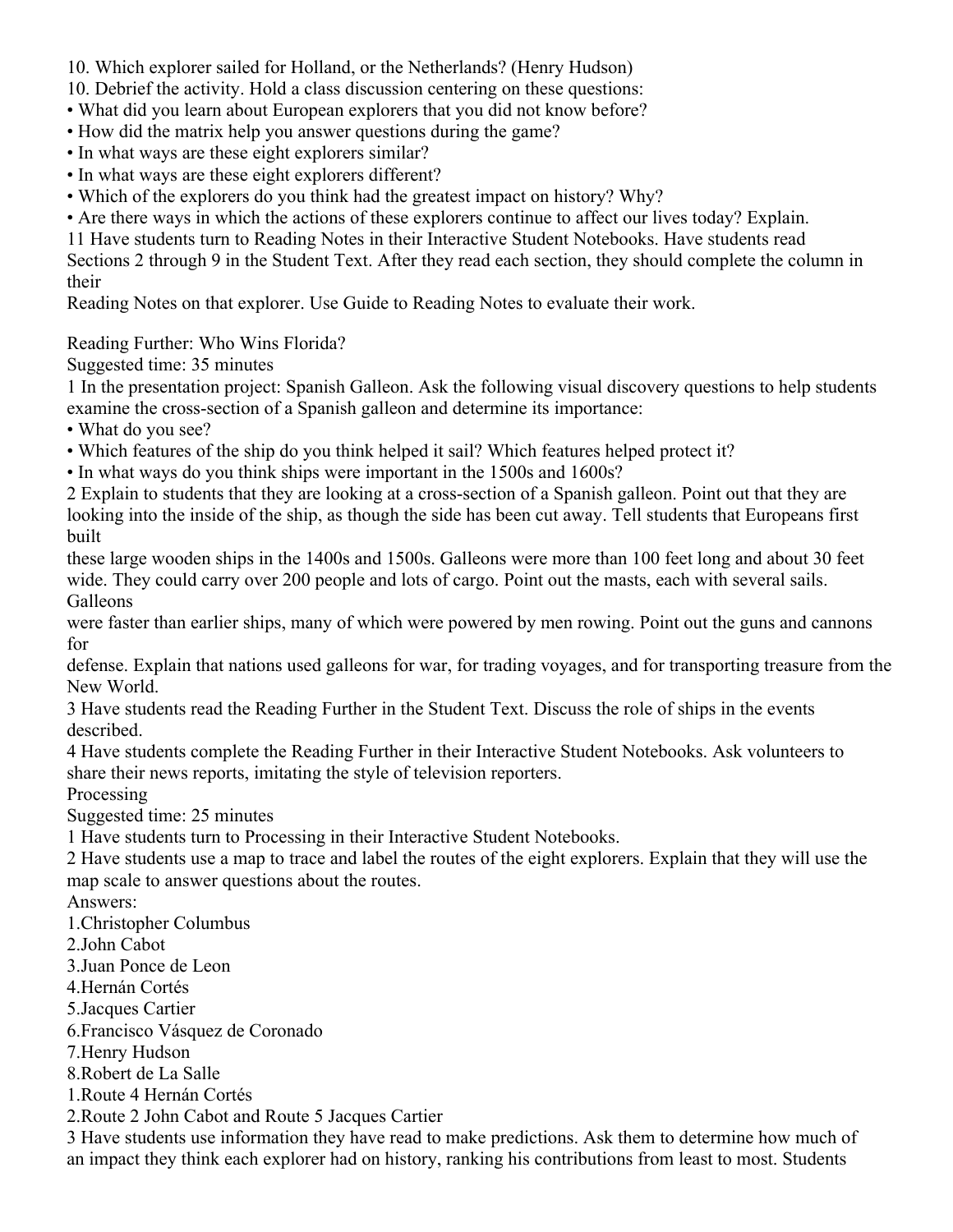- 10. Which explorer sailed for Holland, or the Netherlands? (Henry Hudson)
- 10. Debrief the activity. Hold a class discussion centering on these questions:
- What did you learn about European explorers that you did not know before?
- How did the matrix help you answer questions during the game?
- In what ways are these eight explorers similar?
- In what ways are these eight explorers different?
- Which of the explorers do you think had the greatest impact on history? Why?
- Are there ways in which the actions of these explorers continue to affect our lives today? Explain.

11 Have students turn to Reading Notes in their Interactive Student Notebooks. Have students read

Sections 2 through 9 in the Student Text. After they read each section, they should complete the column in their

Reading Notes on that explorer. Use Guide to Reading Notes to evaluate their work.

Reading Further: Who Wins Florida?

Suggested time: 35 minutes

1 In the presentation project: Spanish Galleon. Ask the following visual discovery questions to help students examine the cross-section of a Spanish galleon and determine its importance:

• What do you see?

- Which features of the ship do you think helped it sail? Which features helped protect it?
- In what ways do you think ships were important in the 1500s and 1600s?

2 Explain to students that they are looking at a cross-section of a Spanish galleon. Point out that they are looking into the inside of the ship, as though the side has been cut away. Tell students that Europeans first built

these large wooden ships in the 1400s and 1500s. Galleons were more than 100 feet long and about 30 feet wide. They could carry over 200 people and lots of cargo. Point out the masts, each with several sails. Galleons

were faster than earlier ships, many of which were powered by men rowing. Point out the guns and cannons for

defense. Explain that nations used galleons for war, for trading voyages, and for transporting treasure from the New World.

3 Have students read the Reading Further in the Student Text. Discuss the role of ships in the events described.

4 Have students complete the Reading Further in their Interactive Student Notebooks. Ask volunteers to share their news reports, imitating the style of television reporters.

Processing

Suggested time: 25 minutes

1 Have students turn to Processing in their Interactive Student Notebooks.

2 Have students use a map to trace and label the routes of the eight explorers. Explain that they will use the map scale to answer questions about the routes.

Answers:

1.Christopher Columbus

2.John Cabot

3.Juan Ponce de Leon

4.Hernán Cortés

5.Jacques Cartier

6.Francisco Vásquez de Coronado

7.Henry Hudson

8.Robert de La Salle

1.Route 4 Hernán Cortés

2.Route 2 John Cabot and Route 5 Jacques Cartier

3 Have students use information they have read to make predictions. Ask them to determine how much of an impact they think each explorer had on history, ranking his contributions from least to most. Students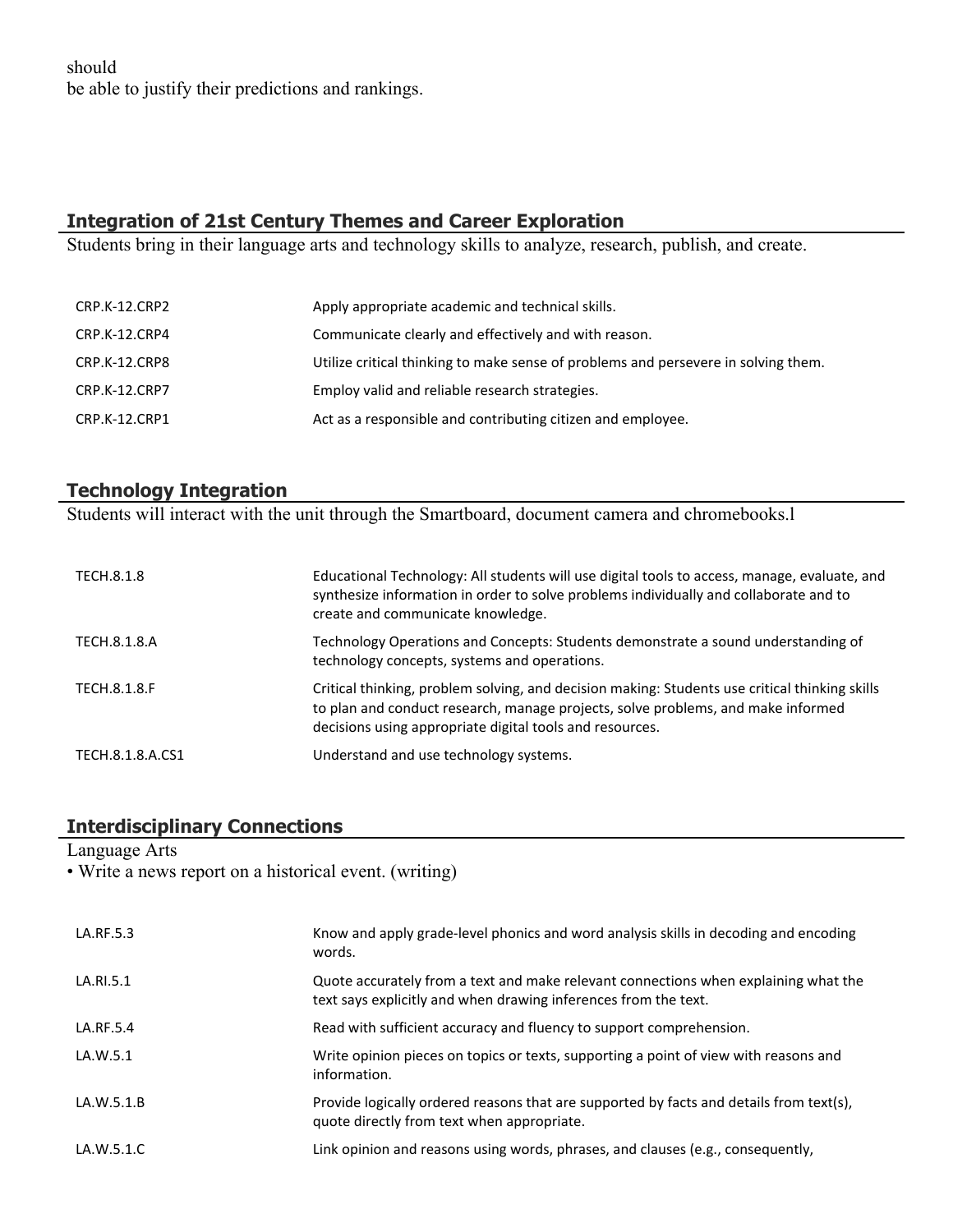should be able to justify their predictions and rankings.

# **Integration of 21st Century Themes and Career Exploration**

Students bring in their language arts and technology skills to analyze, research, publish, and create.

| Apply appropriate academic and technical skills.                                   |
|------------------------------------------------------------------------------------|
| Communicate clearly and effectively and with reason.                               |
| Utilize critical thinking to make sense of problems and persevere in solving them. |
| Employ valid and reliable research strategies.                                     |
| Act as a responsible and contributing citizen and employee.                        |
|                                                                                    |

# **Technology Integration**

Students will interact with the unit through the Smartboard, document camera and chromebooks.l

| TECH.8.1.8       | Educational Technology: All students will use digital tools to access, manage, evaluate, and<br>synthesize information in order to solve problems individually and collaborate and to<br>create and communicate knowledge.                     |
|------------------|------------------------------------------------------------------------------------------------------------------------------------------------------------------------------------------------------------------------------------------------|
| TECH.8.1.8.A     | Technology Operations and Concepts: Students demonstrate a sound understanding of<br>technology concepts, systems and operations.                                                                                                              |
| TECH.8.1.8.F     | Critical thinking, problem solving, and decision making: Students use critical thinking skills<br>to plan and conduct research, manage projects, solve problems, and make informed<br>decisions using appropriate digital tools and resources. |
| TECH.8.1.8.A.CS1 | Understand and use technology systems.                                                                                                                                                                                                         |

# **Interdisciplinary Connections**

Language Arts

• Write a news report on a historical event. (writing)

| LA.RF.5.3  | Know and apply grade-level phonics and word analysis skills in decoding and encoding<br>words.                                                         |
|------------|--------------------------------------------------------------------------------------------------------------------------------------------------------|
| LA.RI.5.1  | Quote accurately from a text and make relevant connections when explaining what the<br>text says explicitly and when drawing inferences from the text. |
| LA.RF.5.4  | Read with sufficient accuracy and fluency to support comprehension.                                                                                    |
| LA.W.5.1   | Write opinion pieces on topics or texts, supporting a point of view with reasons and<br>information.                                                   |
| LA.W.5.1.B | Provide logically ordered reasons that are supported by facts and details from text(s),<br>quote directly from text when appropriate.                  |
| LA.W.5.1.C | Link opinion and reasons using words, phrases, and clauses (e.g., consequently,                                                                        |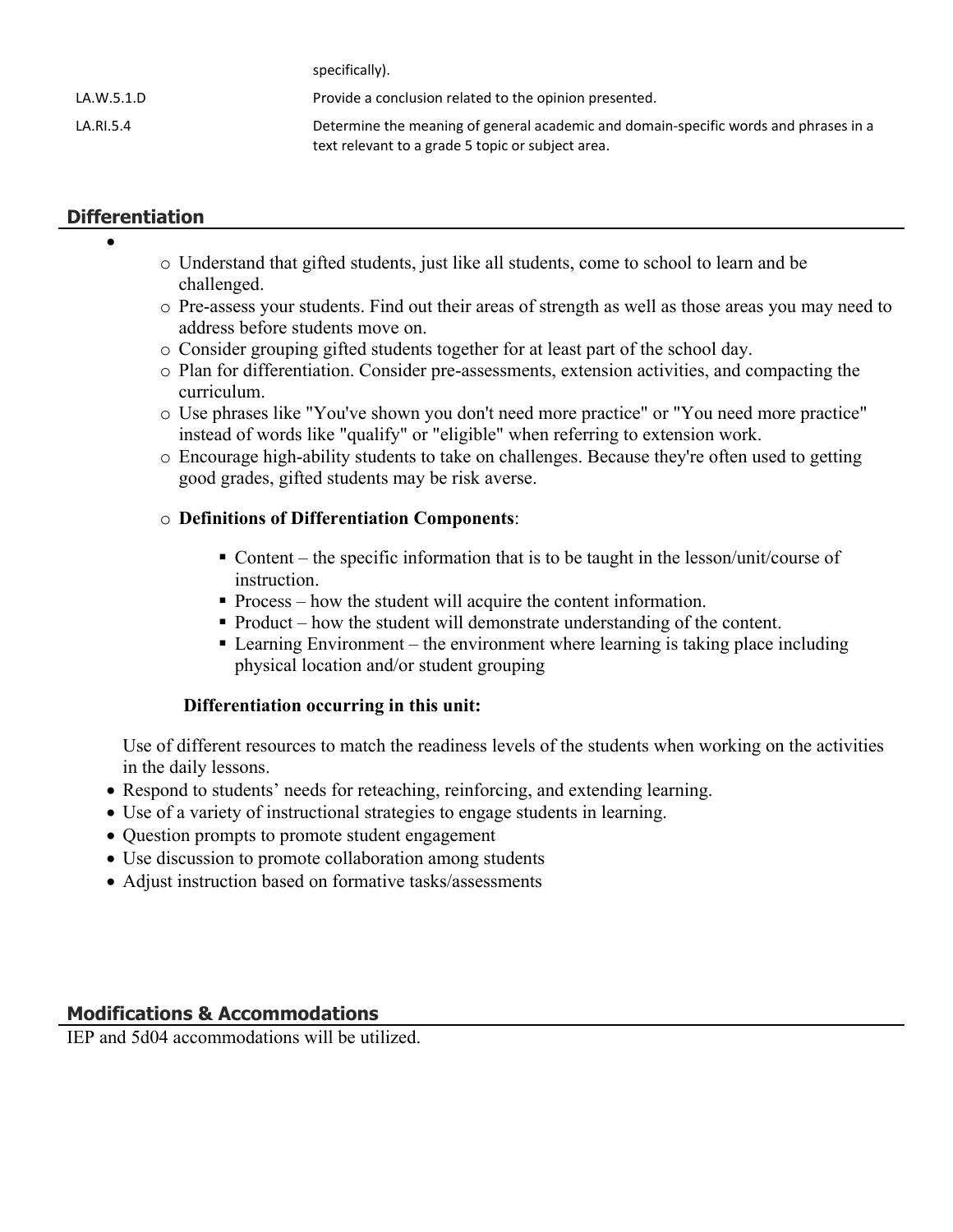|            | specifically).                                                                       |
|------------|--------------------------------------------------------------------------------------|
| LA.W.5.1.D | Provide a conclusion related to the opinion presented.                               |
| LA.RI.5.4  | Determine the meaning of general academic and domain-specific words and phrases in a |
|            | text relevant to a grade 5 topic or subject area.                                    |

# **Differentiation**

 $\bullet$ 

- o Understand that gifted students, just like all students, come to school to learn and be challenged.
- o Pre-assess your students. Find out their areas of strength as well as those areas you may need to address before students move on.
- o Consider grouping gifted students together for at least part of the school day.
- o Plan for differentiation. Consider pre-assessments, extension activities, and compacting the curriculum.
- o Use phrases like "You've shown you don't need more practice" or "You need more practice" instead of words like "qualify" or "eligible" when referring to extension work.
- o Encourage high-ability students to take on challenges. Because they're often used to getting good grades, gifted students may be risk averse.

### o **Definitions of Differentiation Components**:

specifically).

- Content the specific information that is to be taught in the lesson/unit/course of instruction.
- Process how the student will acquire the content information.
- Product how the student will demonstrate understanding of the content.
- Learning Environment the environment where learning is taking place including physical location and/or student grouping

### **Differentiation occurring in this unit:**

Use of different resources to match the readiness levels of the students when working on the activities in the daily lessons.

- Respond to students' needs for reteaching, reinforcing, and extending learning.
- Use of a variety of instructional strategies to engage students in learning.
- Question prompts to promote student engagement
- Use discussion to promote collaboration among students
- Adjust instruction based on formative tasks/assessments

### **Modifications & Accommodations**

IEP and 5d04 accommodations will be utilized.